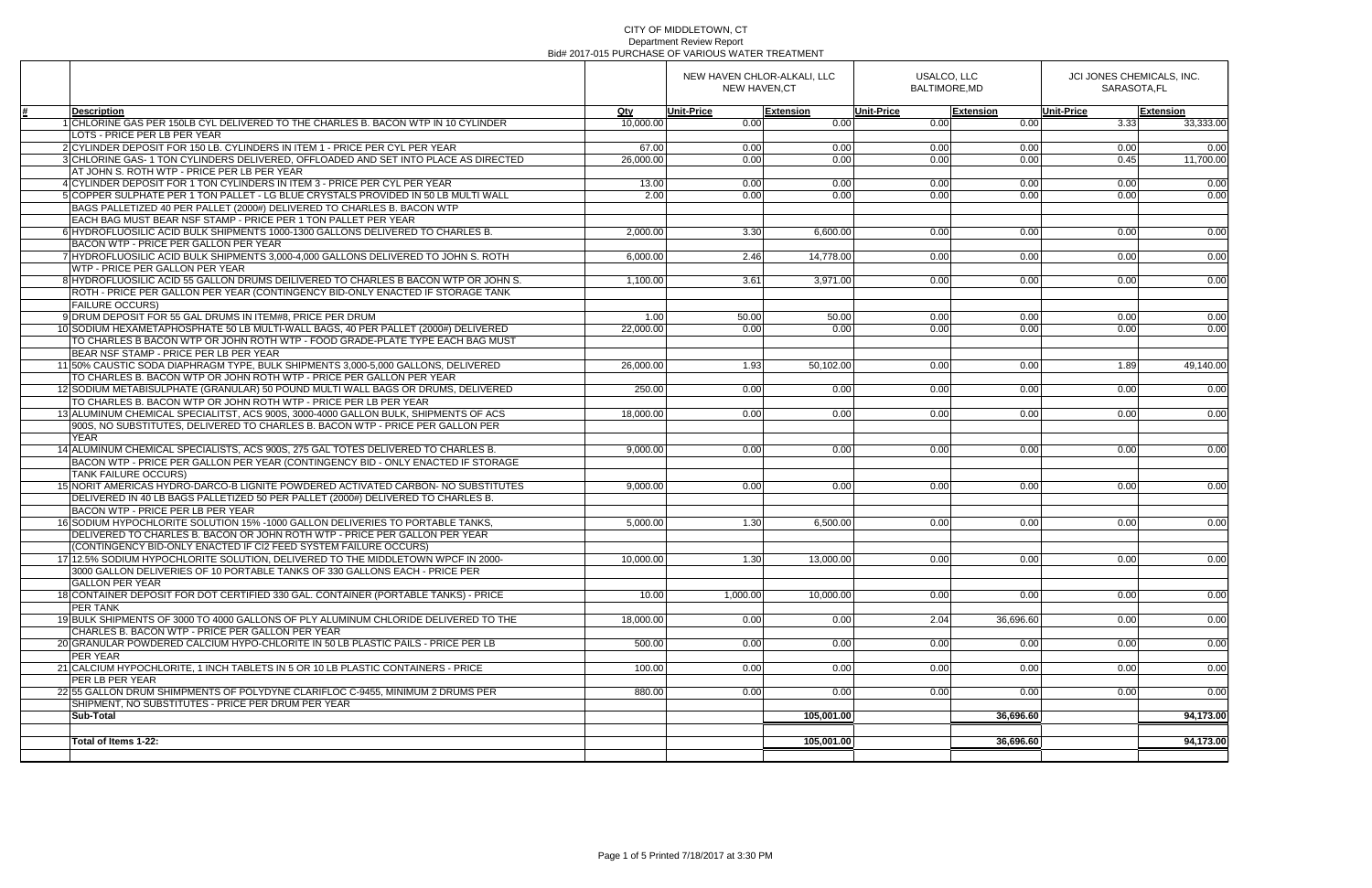|                                                                                                          | NEW HAVEN CHLOR-ALKALI, LLC<br><b>NEW HAVEN,CT</b> |                   |                  | USALCO, LLC<br><b>BALTIMORE.MD</b> |                  | JCI JONES CHEMICALS, INC.<br>SARASOTA.FL |           |
|----------------------------------------------------------------------------------------------------------|----------------------------------------------------|-------------------|------------------|------------------------------------|------------------|------------------------------------------|-----------|
| <b>Description</b>                                                                                       | Qty                                                | <b>Unit-Price</b> | <b>Extension</b> | <b>Unit-Price</b>                  | <b>Extension</b> | <b>Unit-Price</b>                        | Extension |
| 1 CHLORINE GAS PER 150LB CYL DELIVERED TO THE CHARLES B. BACON WTP IN 10 CYLINDER                        | 10,000.00                                          | 0.00              | 0.00             | 0.00                               | 0.00             | 3.33                                     | 33,333.00 |
| LOTS - PRICE PER LB PER YEAR                                                                             |                                                    |                   |                  |                                    |                  |                                          |           |
| 2 CYLINDER DEPOSIT FOR 150 LB. CYLINDERS IN ITEM 1 - PRICE PER CYL PER YEAR                              | 67.00                                              | 0.00              | 0.00             | 0.00                               | 0.00             | 0.00                                     | 0.00      |
| 3 CHLORINE GAS- 1 TON CYLINDERS DELIVERED, OFFLOADED AND SET INTO PLACE AS DIRECTED                      | 26,000.00                                          | 0.00              | 0.00             | 0.00                               | 0.00             | 0.45                                     | 11,700.00 |
| AT JOHN S. ROTH WTP - PRICE PER LB PER YEAR                                                              |                                                    |                   |                  |                                    |                  |                                          |           |
| 4 CYLINDER DEPOSIT FOR 1 TON CYLINDERS IN ITEM 3 - PRICE PER CYL PER YEAR                                | 13.00                                              | 0.00              | 0.00             | 0.00                               | 0.00             | 0.00                                     | 0.00      |
| 5 COPPER SULPHATE PER 1 TON PALLET - LG BLUE CRYSTALS PROVIDED IN 50 LB MULTI WALL                       | 2.00                                               | 0.00              | 0.00             | 0.00                               | 0.00             | 0.00                                     | 0.00      |
| BAGS PALLETIZED 40 PER PALLET (2000#) DELIVERED TO CHARLES B. BACON WTP                                  |                                                    |                   |                  |                                    |                  |                                          |           |
| EACH BAG MUST BEAR NSF STAMP - PRICE PER 1 TON PALLET PER YEAR                                           |                                                    |                   |                  |                                    |                  |                                          |           |
| 6 HYDROFLUOSILIC ACID BULK SHIPMENTS 1000-1300 GALLONS DELIVERED TO CHARLES B.                           | 2,000.00                                           | 3.30              | 6,600.00         | 0.00                               | 0.00             | 0.00                                     | 0.00      |
| BACON WTP - PRICE PER GALLON PER YEAR                                                                    |                                                    |                   |                  |                                    |                  |                                          |           |
| 7 HYDROFLUOSILIC ACID BULK SHIPMENTS 3,000-4,000 GALLONS DELIVERED TO JOHN S. ROTH                       | 6,000.00                                           | 2.46              | 14,778.00        | 0.00                               | 0.00             | 0.00                                     | 0.00      |
| WTP - PRICE PER GALLON PER YEAR                                                                          |                                                    |                   |                  |                                    |                  |                                          |           |
| 8 HYDROFLUOSILIC ACID 55 GALLON DRUMS DEILIVERED TO CHARLES B BACON WTP OR JOHN S.                       | 1,100.00                                           | 3.61              | 3,971.00         | 0.00                               | 0.00             | 0.00                                     | 0.00      |
| ROTH - PRICE PER GALLON PER YEAR (CONTINGENCY BID-ONLY ENACTED IF STORAGE TANK<br><b>FAILURE OCCURS)</b> |                                                    |                   |                  |                                    |                  |                                          |           |
| 9 DRUM DEPOSIT FOR 55 GAL DRUMS IN ITEM#8, PRICE PER DRUM                                                | 1.00                                               | 50.00             |                  |                                    |                  |                                          | 0.00      |
| 10 SODIUM HEXAMETAPHOSPHATE 50 LB MULTI-WALL BAGS, 40 PER PALLET (2000#) DELIVERED                       | 22,000.00                                          | 0.00              | 50.00<br>0.00    | 0.00<br>0.00                       | 0.00<br>0.00     | 0.00<br>0.00                             | 0.00      |
| TO CHARLES B BACON WTP OR JOHN ROTH WTP - FOOD GRADE-PLATE TYPE EACH BAG MUST                            |                                                    |                   |                  |                                    |                  |                                          |           |
| BEAR NSF STAMP - PRICE PER LB PER YEAR                                                                   |                                                    |                   |                  |                                    |                  |                                          |           |
| 11 50% CAUSTIC SODA DIAPHRAGM TYPE, BULK SHIPMENTS 3,000-5,000 GALLONS, DELIVERED                        | 26,000.00                                          | 1.93              | 50,102.00        | 0.00                               | 0.00             | 1.89                                     | 49,140.00 |
| TO CHARLES B. BACON WTP OR JOHN ROTH WTP - PRICE PER GALLON PER YEAR                                     |                                                    |                   |                  |                                    |                  |                                          |           |
| 12 SODIUM METABISULPHATE (GRANULAR) 50 POUND MULTI WALL BAGS OR DRUMS, DELIVERED                         | 250.00                                             | 0.00              | 0.00             | 0.00                               | 0.00             | 0.00                                     | 0.00      |
| TO CHARLES B. BACON WTP OR JOHN ROTH WTP - PRICE PER LB PER YEAR                                         |                                                    |                   |                  |                                    |                  |                                          |           |
| 13 ALUMINUM CHEMICAL SPECIALITST. ACS 900S. 3000-4000 GALLON BULK. SHIPMENTS OF ACS                      | 18,000.00                                          | 0.00              | 0.00             | 0.00                               | 0.00             | 0.00                                     | 0.00      |
| 900S, NO SUBSTITUTES, DELIVERED TO CHARLES B. BACON WTP - PRICE PER GALLON PER                           |                                                    |                   |                  |                                    |                  |                                          |           |
| <b>YEAR</b>                                                                                              |                                                    |                   |                  |                                    |                  |                                          |           |
| 14 ALUMINUM CHEMICAL SPECIALISTS, ACS 900S, 275 GAL TOTES DELIVERED TO CHARLES B.                        | 9,000.00                                           | 0.00              | 0.00             | 0.00                               | 0.00             | 0.00                                     | 0.00      |
| BACON WTP - PRICE PER GALLON PER YEAR (CONTINGENCY BID - ONLY ENACTED IF STORAGE                         |                                                    |                   |                  |                                    |                  |                                          |           |
| <b>TANK FAILURE OCCURS)</b>                                                                              |                                                    |                   |                  |                                    |                  |                                          |           |
| 15 NORIT AMERICAS HYDRO-DARCO-B LIGNITE POWDERED ACTIVATED CARBON- NO SUBSTITUTES                        | 9,000.00                                           | 0.00              | 0.00             | 0.00                               | 0.00             | 0.00                                     | 0.00      |
| DELIVERED IN 40 LB BAGS PALLETIZED 50 PER PALLET (2000#) DELIVERED TO CHARLES B.                         |                                                    |                   |                  |                                    |                  |                                          |           |
| BACON WTP - PRICE PER LB PER YEAR                                                                        |                                                    |                   |                  |                                    |                  |                                          |           |
| 16 SODIUM HYPOCHLORITE SOLUTION 15% - 1000 GALLON DELIVERIES TO PORTABLE TANKS.                          | 5,000.00                                           | 1.30              | 6,500.00         | 0.00                               | 0.00             | 0.00                                     | 0.00      |
| DELIVERED TO CHARLES B. BACON OR JOHN ROTH WTP - PRICE PER GALLON PER YEAR                               |                                                    |                   |                  |                                    |                  |                                          |           |
| (CONTINGENCY BID-ONLY ENACTED IF CI2 FEED SYSTEM FAILURE OCCURS)                                         |                                                    |                   |                  |                                    |                  |                                          |           |
| 17 12.5% SODIUM HYPOCHLORITE SOLUTION, DELIVERED TO THE MIDDLETOWN WPCF IN 2000-                         | 10.000.00                                          | 1.30              | 13,000.00        | 0.00                               | 0.00             | 0.00                                     | 0.00      |
| 3000 GALLON DELIVERIES OF 10 PORTABLE TANKS OF 330 GALLONS EACH - PRICE PER                              |                                                    |                   |                  |                                    |                  |                                          |           |
| <b>GALLON PER YEAR</b>                                                                                   |                                                    |                   |                  |                                    |                  |                                          |           |
| 18 CONTAINER DEPOSIT FOR DOT CERTIFIED 330 GAL, CONTAINER (PORTABLE TANKS) - PRICE                       | 10.00                                              | 1,000.00          | 10,000.00        | 0.00                               | 0.00             | 0.00                                     | 0.00      |
| <b>PER TANK</b>                                                                                          |                                                    |                   |                  |                                    |                  |                                          |           |
| 19 BULK SHIPMENTS OF 3000 TO 4000 GALLONS OF PLY ALUMINUM CHLORIDE DELIVERED TO THE                      | 18,000.00                                          | 0.00              | 0.00             | 2.04                               | 36,696.60        | 0.00                                     | 0.00      |
| CHARLES B. BACON WTP - PRICE PER GALLON PER YEAR                                                         |                                                    |                   |                  |                                    |                  |                                          |           |
| 20 GRANULAR POWDERED CALCIUM HYPO-CHLORITE IN 50 LB PLASTIC PAILS - PRICE PER LB                         | 500.00                                             | 0.00              | 0.00             | 0.00                               | 0.00             | 0.00                                     | 0.00      |
| PER YEAR                                                                                                 |                                                    |                   |                  |                                    |                  |                                          |           |
| 21 CALCIUM HYPOCHLORITE, 1 INCH TABLETS IN 5 OR 10 LB PLASTIC CONTAINERS - PRICE                         | 100.00                                             | 0.00              | 0.00             | 0.00                               | 0.00             | 0.00                                     | 0.00      |
| PER LB PER YEAR                                                                                          |                                                    |                   |                  |                                    |                  |                                          |           |
| 22 55 GALLON DRUM SHIMPMENTS OF POLYDYNE CLARIFLOC C-9455, MINIMUM 2 DRUMS PER                           | 880.00                                             | 0.00              | 0.00             | 0.00                               | 0.00             | 0.00                                     | 0.00      |
| SHIPMENT, NO SUBSTITUTES - PRICE PER DRUM PER YEAR                                                       |                                                    |                   |                  |                                    |                  |                                          |           |
| <b>Sub-Total</b>                                                                                         |                                                    |                   | 105,001.00       |                                    | 36,696.60        |                                          | 94,173.00 |
|                                                                                                          |                                                    |                   |                  |                                    |                  |                                          |           |
| Total of Items 1-22:                                                                                     |                                                    |                   | 105,001.00       |                                    | 36,696.60        |                                          | 94,173.00 |
|                                                                                                          |                                                    |                   |                  |                                    |                  |                                          |           |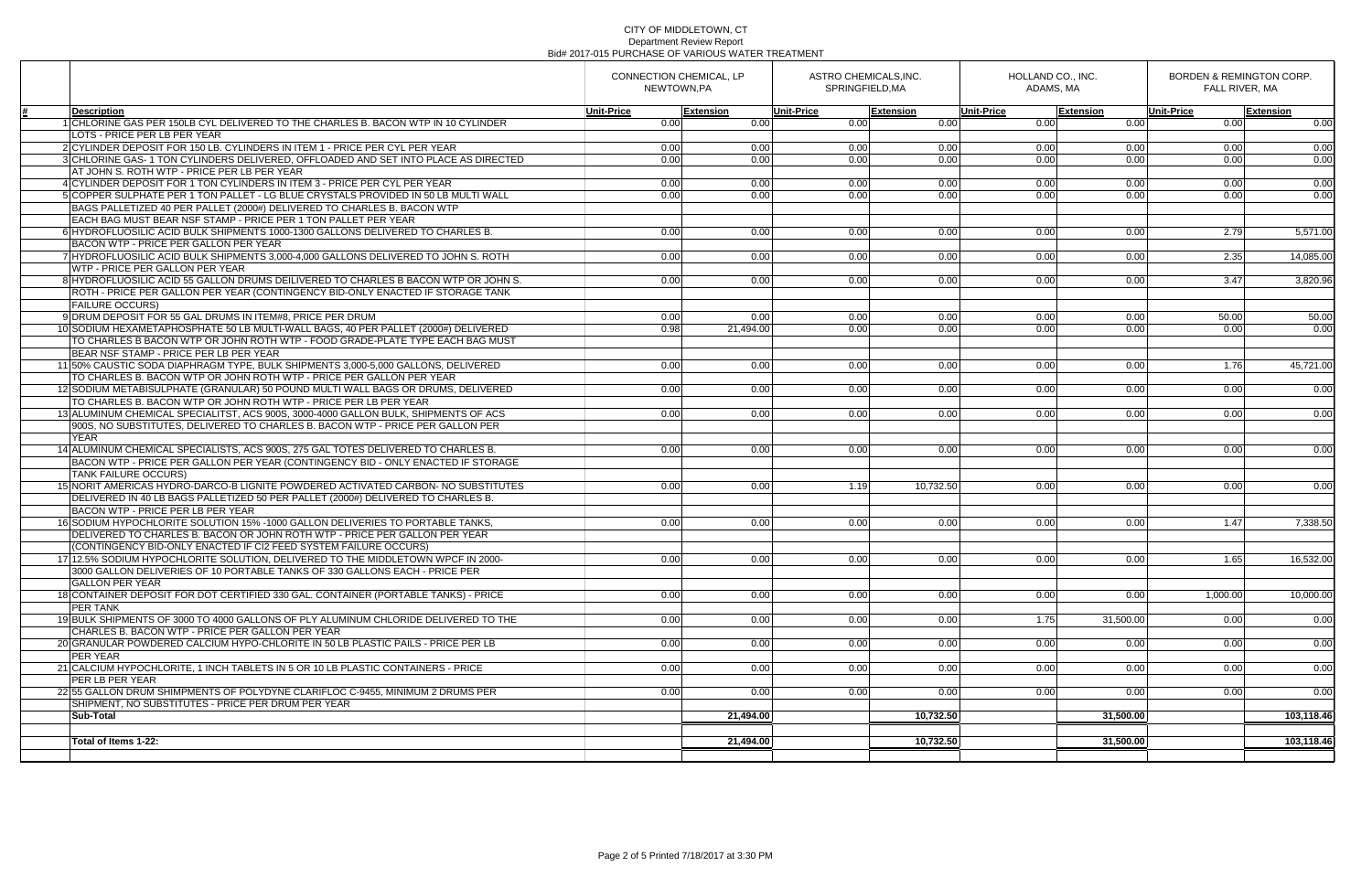|                                                                                                                                                 | CONNECTION CHEMICAL, LP<br>NEWTOWN.PA |                   | ASTRO CHEMICALS, INC.<br>SPRINGFIELD.MA |                  | HOLLAND CO., INC.<br>ADAMS, MA |                  | BORDEN & REMINGTON CORP.<br>FALL RIVER, MA |                  |
|-------------------------------------------------------------------------------------------------------------------------------------------------|---------------------------------------|-------------------|-----------------------------------------|------------------|--------------------------------|------------------|--------------------------------------------|------------------|
| <b>Description</b>                                                                                                                              | Unit-Price                            | Extension         | <b>Unit-Price</b>                       | <b>Extension</b> | <b>Unit-Price</b>              | <b>Extension</b> | Unit-Price                                 | <b>Extension</b> |
| 1 CHLORINE GAS PER 150LB CYL DELIVERED TO THE CHARLES B. BACON WTP IN 10 CYLINDER                                                               | 0.00                                  | 0.00              | 0.00                                    | 0.00             | 0.00                           | 0.00             | 0.00                                       | 0.00             |
| LOTS - PRICE PER LB PER YEAR                                                                                                                    |                                       |                   |                                         |                  |                                |                  |                                            |                  |
| 2 CYLINDER DEPOSIT FOR 150 LB. CYLINDERS IN ITEM 1 - PRICE PER CYL PER YEAR                                                                     | 0.00                                  | 0.00              | 0.00                                    | 0.00             | 0.00                           | 0.00             | 0.00                                       | 0.00             |
| 3 CHLORINE GAS- 1 TON CYLINDERS DELIVERED, OFFLOADED AND SET INTO PLACE AS DIRECTED                                                             | 0.00                                  | 0.00              | 0.00                                    | 0.00             | 0.00                           | 0.00             | 0.00                                       | 0.00             |
| AT JOHN S. ROTH WTP - PRICE PER LB PER YEAR                                                                                                     |                                       |                   |                                         |                  |                                |                  |                                            |                  |
| 4 CYLINDER DEPOSIT FOR 1 TON CYLINDERS IN ITEM 3 - PRICE PER CYL PER YEAR                                                                       | 0.00                                  | 0.00              | 0.00                                    | 0.00             | 0.00                           | 0.00             | 0.00                                       | 0.00             |
| 5 COPPER SULPHATE PER 1 TON PALLET - LG BLUE CRYSTALS PROVIDED IN 50 LB MULTI WALL                                                              | $\overline{0.00}$                     | 0.00              | 0.00                                    | 0.00             | 0.00                           | 0.00             | 0.00                                       | 0.00             |
| BAGS PALLETIZED 40 PER PALLET (2000#) DELIVERED TO CHARLES B. BACON WTP                                                                         |                                       |                   |                                         |                  |                                |                  |                                            |                  |
| EACH BAG MUST BEAR NSF STAMP - PRICE PER 1 TON PALLET PER YEAR                                                                                  |                                       |                   |                                         |                  |                                |                  |                                            |                  |
| 6 HYDROFLUOSILIC ACID BULK SHIPMENTS 1000-1300 GALLONS DELIVERED TO CHARLES B.                                                                  | 0.00                                  | 0.00              | 0.00                                    | 0.00             | 0.00                           | 0.00             | 2.79                                       | 5,571.00         |
| BACON WTP - PRICE PER GALLON PER YEAR                                                                                                           |                                       |                   |                                         |                  |                                |                  |                                            |                  |
| 7 HYDROFLUOSILIC ACID BULK SHIPMENTS 3,000-4,000 GALLONS DELIVERED TO JOHN S. ROTH                                                              | 0.00                                  | 0.00              | 0.00                                    | 0.00             | 0.00                           | 0.00             | 2.35                                       | 14,085.00        |
| WTP - PRICE PER GALLON PER YEAR                                                                                                                 |                                       |                   |                                         |                  |                                |                  |                                            |                  |
| 8 HYDROFLUOSILIC ACID 55 GALLON DRUMS DEILIVERED TO CHARLES B BACON WTP OR JOHN S.                                                              | 0.00                                  | 0.00 <sub>l</sub> | 0.00                                    | 0.00             | 0.00                           | 0.00             | 3.47                                       | 3.820.96         |
| ROTH - PRICE PER GALLON PER YEAR (CONTINGENCY BID-ONLY ENACTED IF STORAGE TANK                                                                  |                                       |                   |                                         |                  |                                |                  |                                            |                  |
| <b>FAILURE OCCURS)</b>                                                                                                                          |                                       |                   |                                         |                  |                                |                  |                                            |                  |
| 9 DRUM DEPOSIT FOR 55 GAL DRUMS IN ITEM#8, PRICE PER DRUM<br>10 SODIUM HEXAMETAPHOSPHATE 50 LB MULTI-WALL BAGS, 40 PER PALLET (2000#) DELIVERED | 0.00<br>0.98                          | 0.00<br>21.494.00 | 0.00                                    | 0.00<br>0.00     | 0.00<br>0.00                   | 0.00<br>0.00     | 50.00<br>0.00                              | 50.00<br>0.00    |
| TO CHARLES B BACON WTP OR JOHN ROTH WTP - FOOD GRADE-PLATE TYPE EACH BAG MUST                                                                   |                                       |                   | 0.00                                    |                  |                                |                  |                                            |                  |
| BEAR NSF STAMP - PRICE PER LB PER YEAR                                                                                                          |                                       |                   |                                         |                  |                                |                  |                                            |                  |
| 11 50% CAUSTIC SODA DIAPHRAGM TYPE, BULK SHIPMENTS 3,000-5,000 GALLONS, DELIVERED                                                               | 0.00                                  | 0.00              | 0.00                                    | 0.00             | 0.00                           | 0.00             | 1.76                                       | 45,721.00        |
| TO CHARLES B. BACON WTP OR JOHN ROTH WTP - PRICE PER GALLON PER YEAR                                                                            |                                       |                   |                                         |                  |                                |                  |                                            |                  |
| 12 SODIUM METABISULPHATE (GRANULAR) 50 POUND MULTI WALL BAGS OR DRUMS, DELIVERED                                                                | 0.00                                  | 0.00              | 0.00                                    | 0.00             | 0.00                           | 0.00             | 0.00                                       | 0.00             |
| TO CHARLES B. BACON WTP OR JOHN ROTH WTP - PRICE PER LB PER YEAR                                                                                |                                       |                   |                                         |                  |                                |                  |                                            |                  |
| 13 ALUMINUM CHEMICAL SPECIALITST, ACS 900S, 3000-4000 GALLON BULK, SHIPMENTS OF ACS                                                             | 0.00                                  | 0.00              | 0.00                                    | 0.00             | 0.00                           | 0.00             | 0.00                                       | 0.00             |
| 900S, NO SUBSTITUTES, DELIVERED TO CHARLES B. BACON WTP - PRICE PER GALLON PER                                                                  |                                       |                   |                                         |                  |                                |                  |                                            |                  |
| <b>YEAR</b>                                                                                                                                     |                                       |                   |                                         |                  |                                |                  |                                            |                  |
| 14 ALUMINUM CHEMICAL SPECIALISTS, ACS 900S, 275 GAL TOTES DELIVERED TO CHARLES B.                                                               | 0.00                                  | 0.00              | 0.00                                    | 0.00             | 0.00                           | 0.00             | 0.00                                       | 0.00             |
| BACON WTP - PRICE PER GALLON PER YEAR (CONTINGENCY BID - ONLY ENACTED IF STORAGE                                                                |                                       |                   |                                         |                  |                                |                  |                                            |                  |
| <b>TANK FAILURE OCCURS)</b>                                                                                                                     |                                       |                   |                                         |                  |                                |                  |                                            |                  |
| 15 NORIT AMERICAS HYDRO-DARCO-B LIGNITE POWDERED ACTIVATED CARBON- NO SUBSTITUTES                                                               | 0.00                                  | 0.00              | 1.19                                    | 10,732.50        | 0.00                           | 0.00             | 0.00                                       | 0.00             |
| DELIVERED IN 40 LB BAGS PALLETIZED 50 PER PALLET (2000#) DELIVERED TO CHARLES B.                                                                |                                       |                   |                                         |                  |                                |                  |                                            |                  |
| BACON WTP - PRICE PER LB PER YEAR                                                                                                               |                                       |                   |                                         |                  |                                |                  |                                            |                  |
| 16 SODIUM HYPOCHLORITE SOLUTION 15% - 1000 GALLON DELIVERIES TO PORTABLE TANKS,                                                                 | 0.00                                  | 0.00              | 0.00                                    | 0.00             | 0.00                           | 0.00             | 1.47                                       | 7,338.50         |
| DELIVERED TO CHARLES B. BACON OR JOHN ROTH WTP - PRICE PER GALLON PER YEAR                                                                      |                                       |                   |                                         |                  |                                |                  |                                            |                  |
| (CONTINGENCY BID-ONLY ENACTED IF CI2 FEED SYSTEM FAILURE OCCURS)                                                                                |                                       |                   |                                         |                  |                                |                  |                                            |                  |
| 17/12.5% SODIUM HYPOCHLORITE SOLUTION. DELIVERED TO THE MIDDLETOWN WPCF IN 2000-                                                                | 0.001                                 | 0.00 <sub>l</sub> | 0.00                                    | 0.001            | 0.00                           | 0.00             | 1.65                                       | 16,532.00        |
| 3000 GALLON DELIVERIES OF 10 PORTABLE TANKS OF 330 GALLONS EACH - PRICE PER                                                                     |                                       |                   |                                         |                  |                                |                  |                                            |                  |
| <b>GALLON PER YEAR</b>                                                                                                                          |                                       |                   |                                         |                  |                                |                  |                                            |                  |
| 18 CONTAINER DEPOSIT FOR DOT CERTIFIED 330 GAL. CONTAINER (PORTABLE TANKS) - PRICE                                                              | 0.00                                  | 0.00              | 0.00                                    | 0.00             | 0.00                           | 0.00             | 1,000.00                                   | 10,000.00        |
| <b>PER TANK</b>                                                                                                                                 |                                       |                   |                                         |                  |                                |                  |                                            |                  |
| 19 BULK SHIPMENTS OF 3000 TO 4000 GALLONS OF PLY ALUMINUM CHLORIDE DELIVERED TO THE                                                             | 0.00                                  | 0.00              | 0.00                                    | 0.00             | 1.75                           | 31,500.00        | 0.00                                       | 0.00             |
| CHARLES B. BACON WTP - PRICE PER GALLON PER YEAR                                                                                                |                                       |                   |                                         |                  |                                |                  |                                            |                  |
| 20 GRANULAR POWDERED CALCIUM HYPO-CHLORITE IN 50 LB PLASTIC PAILS - PRICE PER LB                                                                | 0.00                                  | 0.00              | 0.00                                    | 0.00             | 0.00                           | 0.00             | 0.00                                       | 0.00             |
| <b>PER YEAR</b>                                                                                                                                 |                                       |                   |                                         |                  |                                |                  |                                            |                  |
| 21 CALCIUM HYPOCHLORITE, 1 INCH TABLETS IN 5 OR 10 LB PLASTIC CONTAINERS - PRICE                                                                | 0.00                                  | 0.00              | 0.00                                    | 0.00             | 0.00                           | 0.00             | 0.00                                       | 0.00             |
| PER LB PER YEAR                                                                                                                                 |                                       |                   |                                         |                  |                                |                  |                                            |                  |
| 22 55 GALLON DRUM SHIMPMENTS OF POLYDYNE CLARIFLOC C-9455. MINIMUM 2 DRUMS PER                                                                  | 0.00                                  | 0.00              | 0.00                                    | 0.00             | 0.00                           | 0.00             | 0.00                                       | 0.00             |
| SHIPMENT, NO SUBSTITUTES - PRICE PER DRUM PER YEAR                                                                                              |                                       |                   |                                         |                  |                                |                  |                                            |                  |
| <b>Sub-Total</b>                                                                                                                                |                                       | 21,494.00         |                                         | 10,732.50        |                                | 31,500.00        |                                            | 103,118.46       |
|                                                                                                                                                 |                                       |                   |                                         |                  |                                |                  |                                            |                  |
| Total of Items 1-22:                                                                                                                            |                                       | 21,494.00         |                                         | 10,732.50        |                                | 31,500.00        |                                            | 103,118.46       |
|                                                                                                                                                 |                                       |                   |                                         |                  |                                |                  |                                            |                  |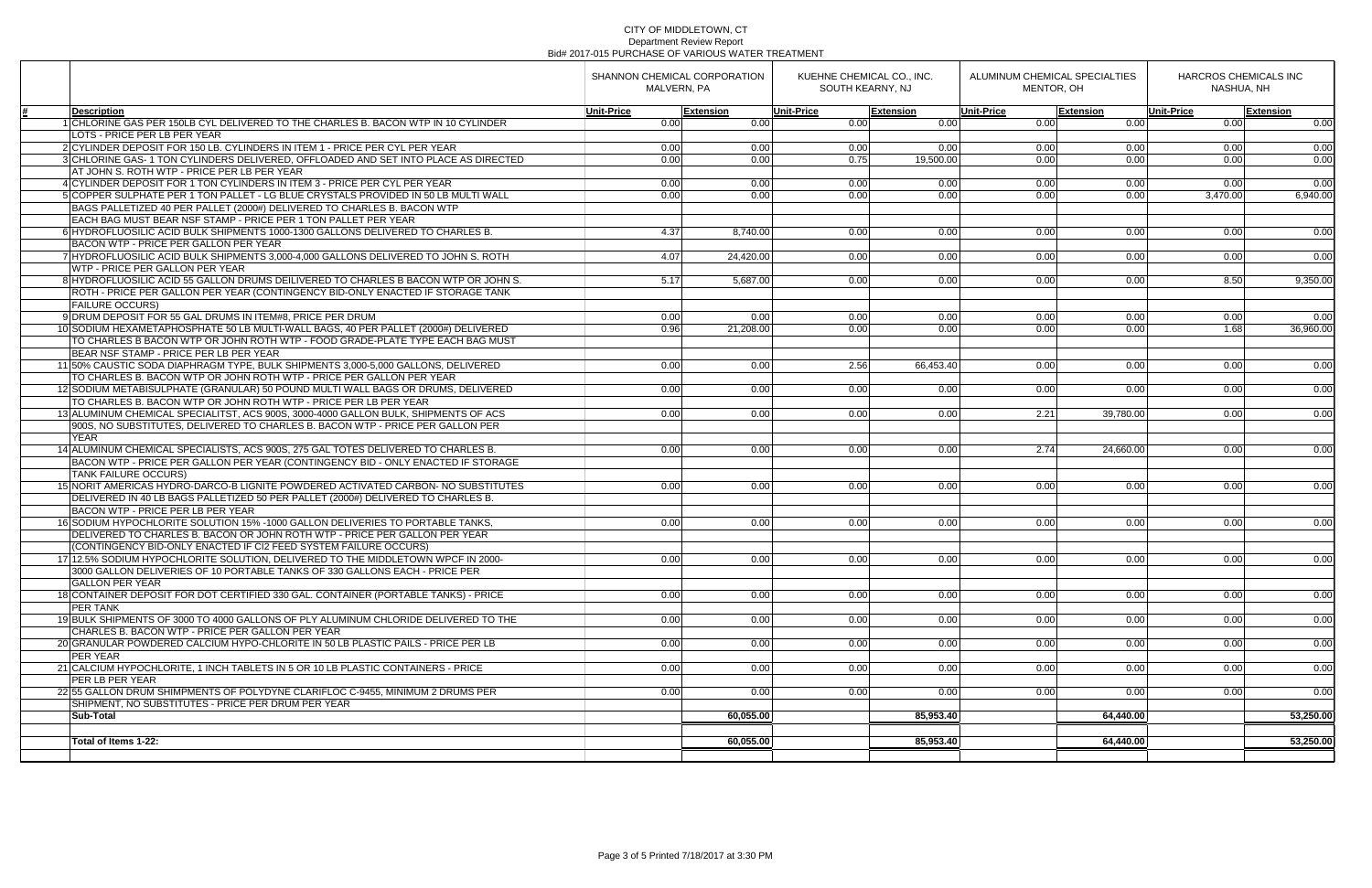|                                                                                                                                         | SHANNON CHEMICAL CORPORATION<br>MALVERN, PA |                  | KUEHNE CHEMICAL CO., INC.<br>SOUTH KEARNY, NJ |                  | ALUMINUM CHEMICAL SPECIALTIES<br>MENTOR, OH |                  | HARCROS CHEMICALS INC<br>NASHUA, NH |                  |
|-----------------------------------------------------------------------------------------------------------------------------------------|---------------------------------------------|------------------|-----------------------------------------------|------------------|---------------------------------------------|------------------|-------------------------------------|------------------|
| <b>Description</b>                                                                                                                      | <b>Unit-Price</b>                           | <b>Extension</b> | <b>Unit-Price</b>                             | <b>Extension</b> | <b>Unit-Price</b>                           | <b>Extension</b> | <b>Unit-Price</b>                   | <b>Extension</b> |
| 1 CHLORINE GAS PER 150LB CYL DELIVERED TO THE CHARLES B. BACON WTP IN 10 CYLINDER                                                       | 0.00                                        | 0.00             | 0.00                                          | 0.00             | 0.00                                        | 0.00             | 0.00                                | 0.00             |
| LOTS - PRICE PER LB PER YEAR                                                                                                            |                                             |                  |                                               |                  |                                             |                  |                                     |                  |
| 2 CYLINDER DEPOSIT FOR 150 LB. CYLINDERS IN ITEM 1 - PRICE PER CYL PER YEAR                                                             | 0.00                                        | 0.00             | 0.00                                          | 0.00             | 0.00                                        | 0.00             | 0.00                                | 0.00             |
| 3 CHLORINE GAS- 1 TON CYLINDERS DELIVERED. OFFLOADED AND SET INTO PLACE AS DIRECTED                                                     | 0.00                                        | 0.00             | 0.75                                          | 19.500.00        | 0.00                                        | 0.00             | 0.00                                | 0.00             |
| AT JOHN S. ROTH WTP - PRICE PER LB PER YEAR                                                                                             |                                             |                  |                                               |                  |                                             |                  |                                     |                  |
| 4 CYLINDER DEPOSIT FOR 1 TON CYLINDERS IN ITEM 3 - PRICE PER CYL PER YEAR                                                               | 0.00                                        | 0.00             | 0.00                                          | 0.00             | 0.00                                        | 0.00             | 0.00                                | 0.00             |
| 5 COPPER SULPHATE PER 1 TON PALLET - LG BLUE CRYSTALS PROVIDED IN 50 LB MULTI WALL                                                      | 0.00                                        | 0.00             | 0.00                                          | 0.00             | 0.00                                        | 0.00             | 3,470.00                            | 6,940.00         |
| BAGS PALLETIZED 40 PER PALLET (2000#) DELIVERED TO CHARLES B. BACON WTP                                                                 |                                             |                  |                                               |                  |                                             |                  |                                     |                  |
| EACH BAG MUST BEAR NSF STAMP - PRICE PER 1 TON PALLET PER YEAR                                                                          |                                             |                  |                                               |                  |                                             |                  |                                     |                  |
| 6 HYDROFLUOSILIC ACID BULK SHIPMENTS 1000-1300 GALLONS DELIVERED TO CHARLES B.                                                          | 4.37                                        | 8,740.00         | 0.00                                          | 0.00             | 0.00                                        | 0.00             | 0.00                                | 0.00             |
| BACON WTP - PRICE PER GALLON PER YEAR                                                                                                   |                                             |                  |                                               |                  |                                             |                  |                                     |                  |
| 7 HYDROFLUOSILIC ACID BULK SHIPMENTS 3,000-4,000 GALLONS DELIVERED TO JOHN S. ROTH                                                      | 4.07                                        | 24,420.00        | 0.00                                          | 0.00             | 0.00                                        | 0.00             | 0.00                                | 0.00             |
| WTP - PRICE PER GALLON PER YEAR                                                                                                         |                                             |                  |                                               |                  |                                             |                  |                                     |                  |
| 8 HYDROFLUOSILIC ACID 55 GALLON DRUMS DEILIVERED TO CHARLES B BACON WTP OR JOHN S.                                                      | 5.17                                        | 5.687.00         | 0.00                                          | 0.00             | 0.00                                        | 0.00             | 8.50                                | 9,350.00         |
| ROTH - PRICE PER GALLON PER YEAR (CONTINGENCY BID-ONLY ENACTED IF STORAGE TANK                                                          |                                             |                  |                                               |                  |                                             |                  |                                     |                  |
| <b>FAILURE OCCURS)</b>                                                                                                                  |                                             |                  |                                               |                  |                                             |                  |                                     |                  |
| 9 DRUM DEPOSIT FOR 55 GAL DRUMS IN ITEM#8, PRICE PER DRUM                                                                               | 0.00                                        | 0.00             | 0.00                                          | 0.00             | 0.00                                        | 0.00             | 0.00                                | 0.00             |
| 10 SODIUM HEXAMETAPHOSPHATE 50 LB MULTI-WALL BAGS, 40 PER PALLET (2000#) DELIVERED                                                      | 0.96                                        | 21,208.00        | 0.00                                          | 0.00             | 0.00                                        | 0.00             | 1.68                                | 36,960.00        |
| TO CHARLES B BACON WTP OR JOHN ROTH WTP - FOOD GRADE-PLATE TYPE EACH BAG MUST                                                           |                                             |                  |                                               |                  |                                             |                  |                                     |                  |
| BEAR NSF STAMP - PRICE PER LB PER YEAR                                                                                                  |                                             |                  |                                               |                  |                                             |                  |                                     |                  |
| 11 50% CAUSTIC SODA DIAPHRAGM TYPE, BULK SHIPMENTS 3,000-5,000 GALLONS, DELIVERED                                                       | 0.00                                        | 0.00             | 2.56                                          | 66,453.40        | 0.00                                        | 0.00             | 0.00                                | 0.00             |
| TO CHARLES B. BACON WTP OR JOHN ROTH WTP - PRICE PER GALLON PER YEAR                                                                    |                                             |                  |                                               |                  |                                             |                  |                                     |                  |
| 12 SODIUM METABISULPHATE (GRANULAR) 50 POUND MULTI WALL BAGS OR DRUMS, DELIVERED                                                        | 0.00                                        | 0.00             | 0.00                                          | 0.00             | 0.00                                        | 0.00             | 0.00                                | 0.00             |
| TO CHARLES B. BACON WTP OR JOHN ROTH WTP - PRICE PER LB PER YEAR                                                                        |                                             |                  |                                               |                  |                                             |                  |                                     |                  |
| 13 ALUMINUM CHEMICAL SPECIALITST, ACS 900S, 3000-4000 GALLON BULK, SHIPMENTS OF ACS                                                     | 0.00                                        | 0.00             | 0.00                                          | 0.00             | 2.21                                        | 39,780.00        | 0.00                                | 0.00             |
| 900S, NO SUBSTITUTES, DELIVERED TO CHARLES B. BACON WTP - PRICE PER GALLON PER                                                          |                                             |                  |                                               |                  |                                             |                  |                                     |                  |
| <b>YEAR</b>                                                                                                                             |                                             |                  |                                               |                  |                                             |                  |                                     |                  |
| 14 ALUMINUM CHEMICAL SPECIALISTS, ACS 900S, 275 GAL TOTES DELIVERED TO CHARLES B.                                                       | 0.00                                        | 0.00             | 0.00                                          | 0.00             | 2.74                                        | 24,660.00        | 0.00                                | 0.00             |
| BACON WTP - PRICE PER GALLON PER YEAR (CONTINGENCY BID - ONLY ENACTED IF STORAGE                                                        |                                             |                  |                                               |                  |                                             |                  |                                     |                  |
| <b>TANK FAILURE OCCURS)</b>                                                                                                             |                                             |                  |                                               |                  |                                             |                  |                                     |                  |
| 15 NORIT AMERICAS HYDRO-DARCO-B LIGNITE POWDERED ACTIVATED CARBON- NO SUBSTITUTES                                                       | 0.00                                        | 0.00             | 0.00                                          | 0.00             | 0.00                                        | 0.00             | 0.00                                | 0.00             |
| DELIVERED IN 40 LB BAGS PALLETIZED 50 PER PALLET (2000#) DELIVERED TO CHARLES B.                                                        |                                             |                  |                                               |                  |                                             |                  |                                     |                  |
| BACON WTP - PRICE PER LB PER YEAR                                                                                                       |                                             |                  |                                               |                  |                                             |                  |                                     |                  |
| 16 SODIUM HYPOCHLORITE SOLUTION 15% -1000 GALLON DELIVERIES TO PORTABLE TANKS.                                                          | 0.00                                        | 0.00             | 0.00                                          | 0.00             | 0.00                                        | 0.00             | 0.00                                | 0.00             |
| DELIVERED TO CHARLES B. BACON OR JOHN ROTH WTP - PRICE PER GALLON PER YEAR                                                              |                                             |                  |                                               |                  |                                             |                  |                                     |                  |
| (CONTINGENCY BID-ONLY ENACTED IF CI2 FEED SYSTEM FAILURE OCCURS)                                                                        |                                             |                  |                                               |                  |                                             |                  |                                     |                  |
| 17 12.5% SODIUM HYPOCHLORITE SOLUTION, DELIVERED TO THE MIDDLETOWN WPCF IN 2000-                                                        | 0.00                                        | 0.00             | 0.00                                          | 0.00             | 0.00                                        | 0.00             | 0.00                                | 0.00             |
| 3000 GALLON DELIVERIES OF 10 PORTABLE TANKS OF 330 GALLONS EACH - PRICE PER                                                             |                                             |                  |                                               |                  |                                             |                  |                                     |                  |
| <b>GALLON PER YEAR</b>                                                                                                                  |                                             |                  |                                               |                  |                                             |                  |                                     |                  |
| 18 CONTAINER DEPOSIT FOR DOT CERTIFIED 330 GAL, CONTAINER (PORTABLE TANKS) - PRICE                                                      | 0.00                                        | 0.00             | 0.00                                          | 0.00             | 0.00                                        | 0.00             | 0.00                                | 0.00             |
| <b>PER TANK</b>                                                                                                                         |                                             |                  |                                               |                  |                                             |                  |                                     |                  |
| 19 BULK SHIPMENTS OF 3000 TO 4000 GALLONS OF PLY ALUMINUM CHLORIDE DELIVERED TO THE<br>CHARLES B. BACON WTP - PRICE PER GALLON PER YEAR | 0.00                                        | 0.00             | 0.00                                          | 0.00             | 0.00                                        | 0.00             | 0.00                                | 0.00             |
|                                                                                                                                         |                                             | 0.00             |                                               |                  |                                             |                  |                                     |                  |
| 20 GRANULAR POWDERED CALCIUM HYPO-CHLORITE IN 50 LB PLASTIC PAILS - PRICE PER LB<br><b>PER YEAR</b>                                     | 0.00                                        |                  | 0.00                                          | 0.00             | 0.00                                        | 0.00             | 0.00                                | 0.00             |
| 21 CALCIUM HYPOCHLORITE. 1 INCH TABLETS IN 5 OR 10 LB PLASTIC CONTAINERS - PRICE                                                        | 0.00                                        | 0.00             | 0.00                                          | 0.00             | 0.00                                        | 0.00             | 0.00                                |                  |
| <b>PER LB PER YEAR</b>                                                                                                                  |                                             |                  |                                               |                  |                                             |                  |                                     | 0.00             |
| 22 55 GALLON DRUM SHIMPMENTS OF POLYDYNE CLARIFLOC C-9455, MINIMUM 2 DRUMS PER                                                          | 0.00                                        | 0.00             | 0.00                                          | 0.00             | 0.00                                        | 0.00             | 0.00                                | 0.00             |
| SHIPMENT. NO SUBSTITUTES - PRICE PER DRUM PER YEAR                                                                                      |                                             |                  |                                               |                  |                                             |                  |                                     |                  |
| <b>Sub-Total</b>                                                                                                                        |                                             | 60,055.00        |                                               | 85,953.40        |                                             | 64,440.00        |                                     | 53,250.00        |
|                                                                                                                                         |                                             |                  |                                               |                  |                                             |                  |                                     |                  |
| Total of Items 1-22:                                                                                                                    |                                             |                  |                                               | 85,953.40        |                                             | 64,440.00        |                                     |                  |
|                                                                                                                                         |                                             | 60,055.00        |                                               |                  |                                             |                  |                                     | 53,250.00        |
|                                                                                                                                         |                                             |                  |                                               |                  |                                             |                  |                                     |                  |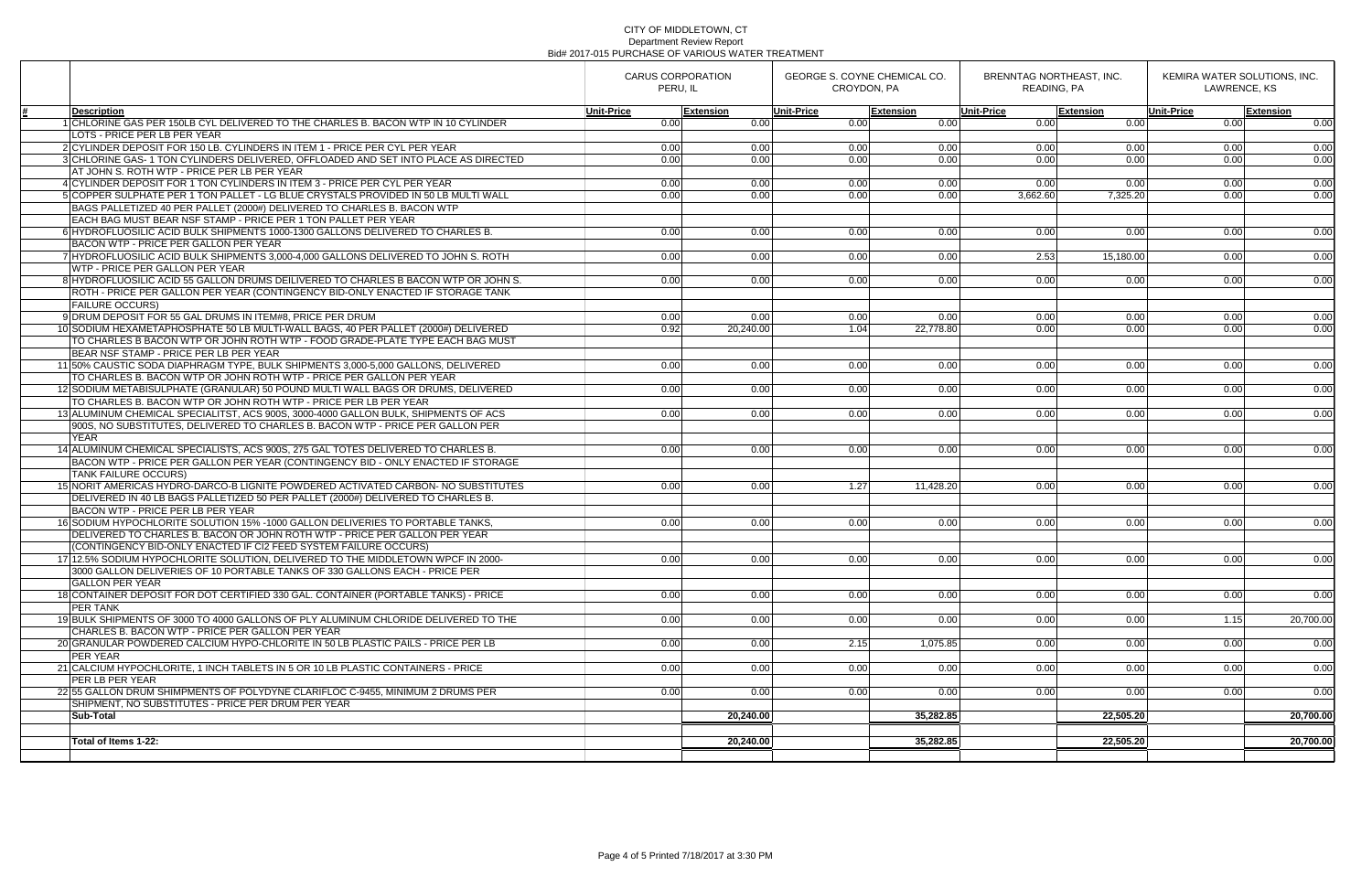|                                                                                                                                                                       | <b>CARUS CORPORATION</b><br>PERU, IL |           | <b>GEORGE S. COYNE CHEMICAL CO.</b><br><b>CROYDON, PA</b> |                  | BRENNTAG NORTHEAST, INC.<br>READING, PA |                  | KEMIRA WATER SOLUTIONS, INC.<br>LAWRENCE, KS |                  |
|-----------------------------------------------------------------------------------------------------------------------------------------------------------------------|--------------------------------------|-----------|-----------------------------------------------------------|------------------|-----------------------------------------|------------------|----------------------------------------------|------------------|
| Description                                                                                                                                                           | <b>Unit-Price</b>                    | Extension | <b>Unit-Price</b>                                         | <b>Extension</b> | <b>Unit-Price</b>                       | <b>Extension</b> | Unit-Price                                   | <b>Extension</b> |
| 1 CHLORINE GAS PER 150LB CYL DELIVERED TO THE CHARLES B. BACON WTP IN 10 CYLINDER                                                                                     | 0.00                                 | 0.00      | 0.00                                                      | 0.00             | 0.00                                    | 0.00             | 0.00                                         | 0.00             |
| LOTS - PRICE PER LB PER YEAR                                                                                                                                          |                                      |           |                                                           |                  |                                         |                  |                                              |                  |
| 2 CYLINDER DEPOSIT FOR 150 LB. CYLINDERS IN ITEM 1 - PRICE PER CYL PER YEAR                                                                                           | 0.00                                 | 0.00      | 0.00                                                      | 0.00             | 0.00                                    | 0.00             | 0.00                                         | 0.00             |
| 3 CHLORINE GAS- 1 TON CYLINDERS DELIVERED. OFFLOADED AND SET INTO PLACE AS DIRECTED                                                                                   | 0.00                                 | 0.00      | 0.00                                                      | 0.00             | 0.00                                    | 0.00             | 0.00                                         | 0.00             |
| AT JOHN S. ROTH WTP - PRICE PER LB PER YEAR                                                                                                                           |                                      |           |                                                           |                  |                                         |                  |                                              |                  |
| 4 CYLINDER DEPOSIT FOR 1 TON CYLINDERS IN ITEM 3 - PRICE PER CYL PER YEAR                                                                                             | 0.00                                 | 0.00      | 0.00                                                      | 0.00             | 0.00                                    | 0.00             | 0.00                                         | 0.00             |
| 5 COPPER SULPHATE PER 1 TON PALLET - LG BLUE CRYSTALS PROVIDED IN 50 LB MULTI WALL                                                                                    | 0.00                                 | 0.00      | 0.00                                                      | 0.00             | 3,662.60                                | 7,325.20         | 0.00                                         | 0.00             |
| BAGS PALLETIZED 40 PER PALLET (2000#) DELIVERED TO CHARLES B. BACON WTP                                                                                               |                                      |           |                                                           |                  |                                         |                  |                                              |                  |
| EACH BAG MUST BEAR NSF STAMP - PRICE PER 1 TON PALLET PER YEAR                                                                                                        |                                      |           |                                                           |                  |                                         |                  |                                              |                  |
| 6 HYDROFLUOSILIC ACID BULK SHIPMENTS 1000-1300 GALLONS DELIVERED TO CHARLES B.                                                                                        | 0.00                                 | 0.00      | 0.00                                                      | 0.00             | 0.00                                    | 0.00             | 0.00                                         | 0.00             |
| <b>BACON WTP - PRICE PER GALLON PER YEAR</b>                                                                                                                          |                                      |           |                                                           |                  |                                         |                  |                                              |                  |
| 7 HYDROFLUOSILIC ACID BULK SHIPMENTS 3,000-4,000 GALLONS DELIVERED TO JOHN S. ROTH                                                                                    | 0.00                                 | 0.00      | 0.00                                                      | 0.00             | 2.53                                    | 15,180.00        | 0.00                                         | 0.00             |
| WTP - PRICE PER GALLON PER YEAR                                                                                                                                       |                                      |           |                                                           |                  |                                         |                  |                                              |                  |
| 8 HYDROFLUOSILIC ACID 55 GALLON DRUMS DEILIVERED TO CHARLES B BACON WTP OR JOHN S.                                                                                    | 0.00                                 | 0.00      | 0.00                                                      | 0.00             | 0.00                                    | 0.00             | 0.00                                         | 0.00             |
| ROTH - PRICE PER GALLON PER YEAR (CONTINGENCY BID-ONLY ENACTED IF STORAGE TANK                                                                                        |                                      |           |                                                           |                  |                                         |                  |                                              |                  |
| <b>FAILURE OCCURS</b>                                                                                                                                                 |                                      |           |                                                           |                  |                                         |                  |                                              |                  |
| 9 DRUM DEPOSIT FOR 55 GAL DRUMS IN ITEM#8, PRICE PER DRUM                                                                                                             | 0.00                                 | 0.00      | 0.00                                                      | 0.00             | 0.00                                    | 0.00             | 0.00                                         | 0.00             |
| 10 SODIUM HEXAMETAPHOSPHATE 50 LB MULTI-WALL BAGS, 40 PER PALLET (2000#) DELIVERED                                                                                    | 0.92                                 | 20,240.00 | 1.04                                                      | 22,778.80        | 0.00                                    | 0.00             | 0.00                                         | 0.00             |
| TO CHARLES B BACON WTP OR JOHN ROTH WTP - FOOD GRADE-PLATE TYPE EACH BAG MUST                                                                                         |                                      |           |                                                           |                  |                                         |                  |                                              |                  |
| BEAR NSF STAMP - PRICE PER LB PER YEAR                                                                                                                                |                                      |           |                                                           |                  |                                         |                  |                                              |                  |
| 11 50% CAUSTIC SODA DIAPHRAGM TYPE, BULK SHIPMENTS 3,000-5,000 GALLONS, DELIVERED                                                                                     | 0.00                                 | 0.00      | 0.00                                                      | 0.00             | 0.00                                    | 0.00             | 0.00                                         | 0.00             |
| TO CHARLES B. BACON WTP OR JOHN ROTH WTP - PRICE PER GALLON PER YEAR                                                                                                  |                                      |           |                                                           |                  |                                         |                  |                                              |                  |
| 12 SODIUM METABISULPHATE (GRANULAR) 50 POUND MULTI WALL BAGS OR DRUMS, DELIVERED                                                                                      | 0.00                                 | 0.00      | 0.00                                                      | 0.00             | 0.00                                    | 0.00             | 0.00                                         | 0.00             |
| TO CHARLES B. BACON WTP OR JOHN ROTH WTP - PRICE PER LB PER YEAR                                                                                                      |                                      |           |                                                           |                  |                                         |                  |                                              |                  |
| 13 ALUMINUM CHEMICAL SPECIALITST, ACS 900S, 3000-4000 GALLON BULK, SHIPMENTS OF ACS                                                                                   | 0.00                                 | 0.00      | 0.00                                                      | 0.00             | 0.00                                    | 0.00             | 0.00                                         | 0.00             |
| 900S, NO SUBSTITUTES, DELIVERED TO CHARLES B. BACON WTP - PRICE PER GALLON PER                                                                                        |                                      |           |                                                           |                  |                                         |                  |                                              |                  |
| <b>YEAR</b>                                                                                                                                                           |                                      |           |                                                           |                  |                                         |                  |                                              |                  |
| 14 ALUMINUM CHEMICAL SPECIALISTS, ACS 900S, 275 GAL TOTES DELIVERED TO CHARLES B.                                                                                     | 0.00                                 | 0.00      | 0.00                                                      | 0.00             | 0.00                                    | 0.00             | 0.00                                         | 0.00             |
| BACON WTP - PRICE PER GALLON PER YEAR (CONTINGENCY BID - ONLY ENACTED IF STORAGE                                                                                      |                                      |           |                                                           |                  |                                         |                  |                                              |                  |
| <b>TANK FAILURE OCCURS)</b>                                                                                                                                           |                                      |           |                                                           |                  |                                         |                  |                                              |                  |
| 15 NORIT AMERICAS HYDRO-DARCO-B LIGNITE POWDERED ACTIVATED CARBON- NO SUBSTITUTES<br>DELIVERED IN 40 LB BAGS PALLETIZED 50 PER PALLET (2000#) DELIVERED TO CHARLES B. | 0.00                                 | 0.00      | 1.27                                                      | 11,428.20        | 0.00                                    | 0.00             | 0.00                                         | 0.00             |
| BACON WTP - PRICE PER LB PER YEAR                                                                                                                                     |                                      |           |                                                           |                  |                                         |                  |                                              |                  |
| 16 SODIUM HYPOCHLORITE SOLUTION 15% -1000 GALLON DELIVERIES TO PORTABLE TANKS.                                                                                        | 0.00                                 | 0.00      | 0.00                                                      | 0.00             | 0.00                                    | 0.00             | 0.00                                         | 0.00             |
| DELIVERED TO CHARLES B. BACON OR JOHN ROTH WTP - PRICE PER GALLON PER YEAR                                                                                            |                                      |           |                                                           |                  |                                         |                  |                                              |                  |
| (CONTINGENCY BID-ONLY ENACTED IF CI2 FEED SYSTEM FAILURE OCCURS)                                                                                                      |                                      |           |                                                           |                  |                                         |                  |                                              |                  |
| 17 12.5% SODIUM HYPOCHLORITE SOLUTION, DELIVERED TO THE MIDDLETOWN WPCF IN 2000-                                                                                      | 0.00                                 | 0.00      | 0.00                                                      | 0.00             | 0.00                                    | 0.00             | 0.00                                         | 0.00             |
| 3000 GALLON DELIVERIES OF 10 PORTABLE TANKS OF 330 GALLONS EACH - PRICE PER                                                                                           |                                      |           |                                                           |                  |                                         |                  |                                              |                  |
| GALLON PER YEAR                                                                                                                                                       |                                      |           |                                                           |                  |                                         |                  |                                              |                  |
| 18 CONTAINER DEPOSIT FOR DOT CERTIFIED 330 GAL. CONTAINER (PORTABLE TANKS) - PRICE                                                                                    | 0.00                                 | 0.00      | 0.00                                                      | 0.00             | 0.00                                    | 0.00             | 0.00                                         | 0.00             |
| <b>PER TANK</b>                                                                                                                                                       |                                      |           |                                                           |                  |                                         |                  |                                              |                  |
| 19 BULK SHIPMENTS OF 3000 TO 4000 GALLONS OF PLY ALUMINUM CHLORIDE DELIVERED TO THE                                                                                   | 0.00                                 | 0.00      | 0.00                                                      | 0.00             | 0.00                                    | 0.00             | 1.15                                         | 20,700.00        |
| CHARLES B. BACON WTP - PRICE PER GALLON PER YEAR                                                                                                                      |                                      |           |                                                           |                  |                                         |                  |                                              |                  |
| 20 GRANULAR POWDERED CALCIUM HYPO-CHLORITE IN 50 LB PLASTIC PAILS - PRICE PER LB                                                                                      | 0.00                                 | 0.00      | 2.15                                                      | 1,075.85         | 0.00                                    | 0.00             | 0.00                                         | 0.00             |
| <b>PER YEAR</b>                                                                                                                                                       |                                      |           |                                                           |                  |                                         |                  |                                              |                  |
| 21 CALCIUM HYPOCHLORITE, 1 INCH TABLETS IN 5 OR 10 LB PLASTIC CONTAINERS - PRICE                                                                                      | 0.00                                 | 0.00      | 0.00                                                      | 0.00             | 0.00                                    | 0.00             | 0.00                                         | 0.00             |
| IPER LB PER YEAR                                                                                                                                                      |                                      |           |                                                           |                  |                                         |                  |                                              |                  |
| 22 55 GALLON DRUM SHIMPMENTS OF POLYDYNE CLARIFLOC C-9455, MINIMUM 2 DRUMS PER                                                                                        | 0.00                                 | 0.00      | 0.00                                                      | 0.00             | 0.00                                    | 0.00             | 0.00                                         | 0.00             |
| SHIPMENT. NO SUBSTITUTES - PRICE PER DRUM PER YEAR                                                                                                                    |                                      |           |                                                           |                  |                                         |                  |                                              |                  |
| ∣Sub-Total                                                                                                                                                            |                                      | 20,240.00 |                                                           | 35,282.85        |                                         | 22,505,20        |                                              | 20,700.00        |
|                                                                                                                                                                       |                                      |           |                                                           |                  |                                         |                  |                                              |                  |
| Total of Items 1-22:                                                                                                                                                  |                                      | 20,240.00 |                                                           | 35,282.85        |                                         | 22,505.20        |                                              | 20,700.00        |
|                                                                                                                                                                       |                                      |           |                                                           |                  |                                         |                  |                                              |                  |
|                                                                                                                                                                       |                                      |           |                                                           |                  |                                         |                  |                                              |                  |